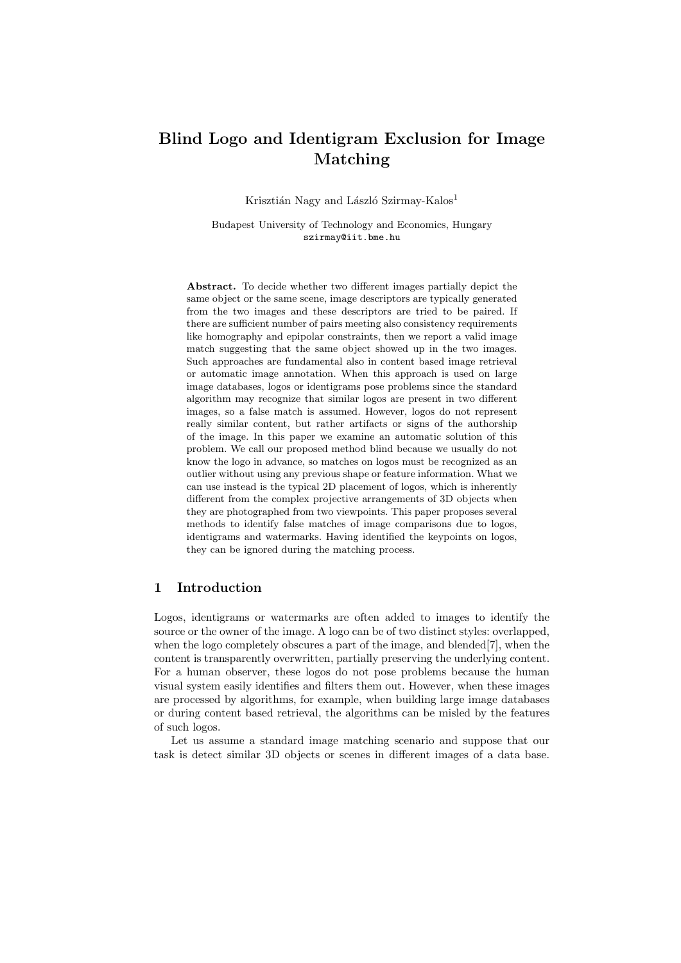# **Blind Logo and Identigram Exclusion for Image Matching**

Krisztián Nagy and László Szirmay-Kalos<sup>1</sup>

Budapest University of Technology and Economics, Hungary szirmay@iit.bme.hu

**Abstract.** To decide whether two different images partially depict the same object or the same scene, image descriptors are typically generated from the two images and these descriptors are tried to be paired. If there are sufficient number of pairs meeting also consistency requirements like homography and epipolar constraints, then we report a valid image match suggesting that the same object showed up in the two images. Such approaches are fundamental also in content based image retrieval or automatic image annotation. When this approach is used on large image databases, logos or identigrams pose problems since the standard algorithm may recognize that similar logos are present in two different images, so a false match is assumed. However, logos do not represent really similar content, but rather artifacts or signs of the authorship of the image. In this paper we examine an automatic solution of this problem. We call our proposed method blind because we usually do not know the logo in advance, so matches on logos must be recognized as an outlier without using any previous shape or feature information. What we can use instead is the typical 2D placement of logos, which is inherently different from the complex projective arrangements of 3D objects when they are photographed from two viewpoints. This paper proposes several methods to identify false matches of image comparisons due to logos, identigrams and watermarks. Having identified the keypoints on logos, they can be ignored during the matching process.

# **1 Introduction**

Logos, identigrams or watermarks are often added to images to identify the source or the owner of the image. A logo can be of two distinct styles: overlapped, when the logo completely obscures a part of the image, and blended<sup>[7]</sup>, when the content is transparently overwritten, partially preserving the underlying content. For a human observer, these logos do not pose problems because the human visual system easily identifies and filters them out. However, when these images are processed by algorithms, for example, when building large image databases or during content based retrieval, the algorithms can be misled by the features of such logos.

Let us assume a standard image matching scenario and suppose that our task is detect similar 3D objects or scenes in different images of a data base.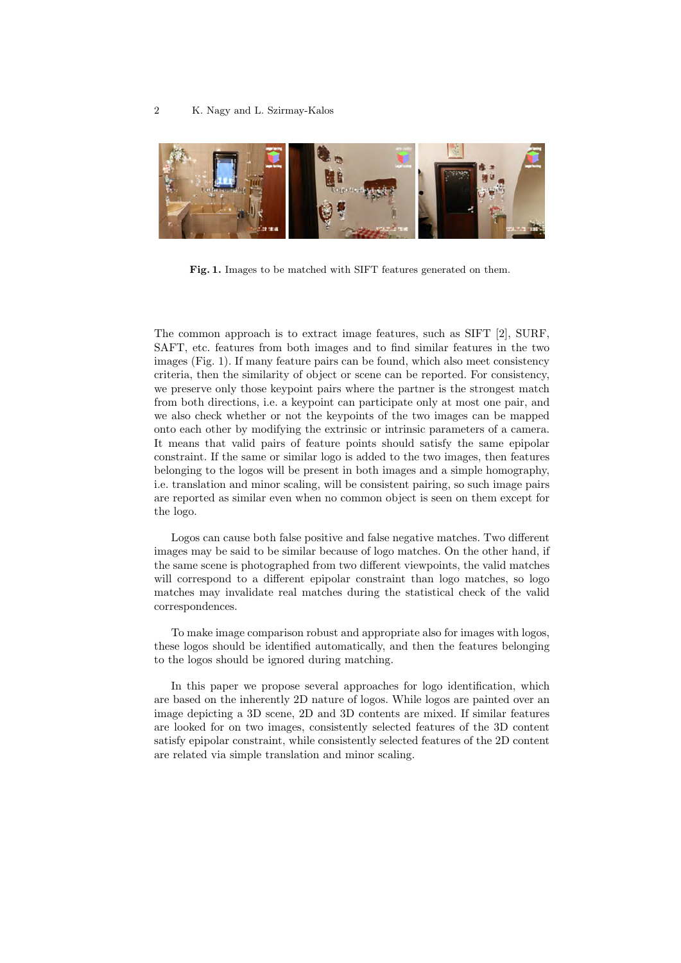

**Fig. 1.** Images to be matched with SIFT features generated on them.

The common approach is to extract image features, such as SIFT [2], SURF, SAFT, etc. features from both images and to find similar features in the two images (Fig. 1). If many feature pairs can be found, which also meet consistency criteria, then the similarity of object or scene can be reported. For consistency, we preserve only those keypoint pairs where the partner is the strongest match from both directions, i.e. a keypoint can participate only at most one pair, and we also check whether or not the keypoints of the two images can be mapped onto each other by modifying the extrinsic or intrinsic parameters of a camera. It means that valid pairs of feature points should satisfy the same epipolar constraint. If the same or similar logo is added to the two images, then features belonging to the logos will be present in both images and a simple homography, i.e. translation and minor scaling, will be consistent pairing, so such image pairs are reported as similar even when no common object is seen on them except for the logo.

Logos can cause both false positive and false negative matches. Two different images may be said to be similar because of logo matches. On the other hand, if the same scene is photographed from two different viewpoints, the valid matches will correspond to a different epipolar constraint than logo matches, so logo matches may invalidate real matches during the statistical check of the valid correspondences.

To make image comparison robust and appropriate also for images with logos, these logos should be identified automatically, and then the features belonging to the logos should be ignored during matching.

In this paper we propose several approaches for logo identification, which are based on the inherently 2D nature of logos. While logos are painted over an image depicting a 3D scene, 2D and 3D contents are mixed. If similar features are looked for on two images, consistently selected features of the 3D content satisfy epipolar constraint, while consistently selected features of the 2D content are related via simple translation and minor scaling.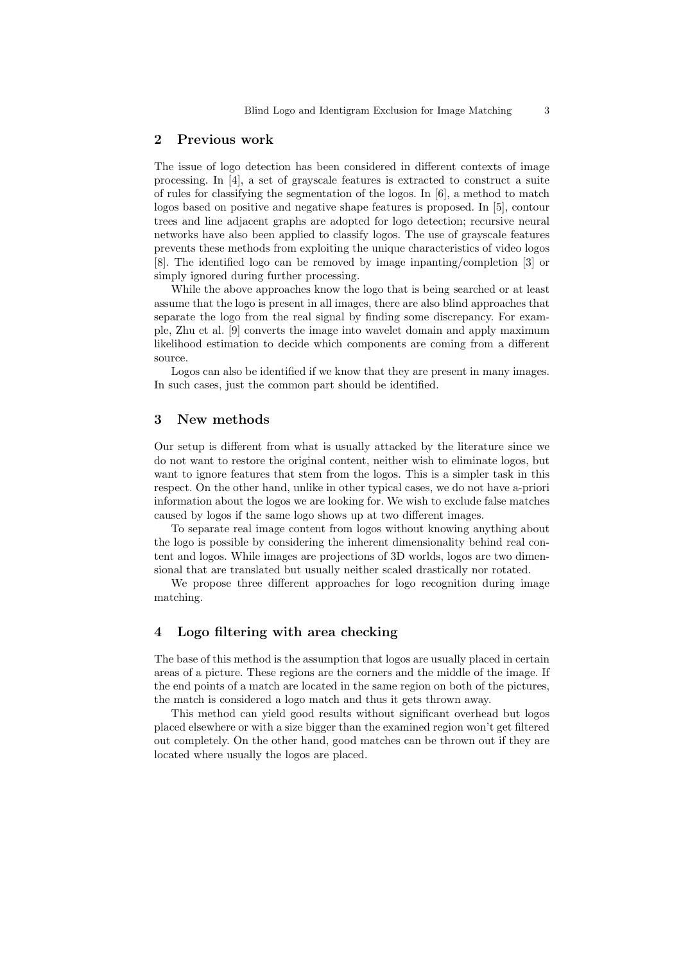## **2 Previous work**

The issue of logo detection has been considered in different contexts of image processing. In [4], a set of grayscale features is extracted to construct a suite of rules for classifying the segmentation of the logos. In [6], a method to match logos based on positive and negative shape features is proposed. In [5], contour trees and line adjacent graphs are adopted for logo detection; recursive neural networks have also been applied to classify logos. The use of grayscale features prevents these methods from exploiting the unique characteristics of video logos [8]. The identified logo can be removed by image inpanting/completion [3] or simply ignored during further processing.

While the above approaches know the logo that is being searched or at least assume that the logo is present in all images, there are also blind approaches that separate the logo from the real signal by finding some discrepancy. For example, Zhu et al. [9] converts the image into wavelet domain and apply maximum likelihood estimation to decide which components are coming from a different source.

Logos can also be identified if we know that they are present in many images. In such cases, just the common part should be identified.

## **3 New methods**

Our setup is different from what is usually attacked by the literature since we do not want to restore the original content, neither wish to eliminate logos, but want to ignore features that stem from the logos. This is a simpler task in this respect. On the other hand, unlike in other typical cases, we do not have a-priori information about the logos we are looking for. We wish to exclude false matches caused by logos if the same logo shows up at two different images.

To separate real image content from logos without knowing anything about the logo is possible by considering the inherent dimensionality behind real content and logos. While images are projections of 3D worlds, logos are two dimensional that are translated but usually neither scaled drastically nor rotated.

We propose three different approaches for logo recognition during image matching.

## **4 Logo filtering with area checking**

The base of this method is the assumption that logos are usually placed in certain areas of a picture. These regions are the corners and the middle of the image. If the end points of a match are located in the same region on both of the pictures, the match is considered a logo match and thus it gets thrown away.

This method can yield good results without significant overhead but logos placed elsewhere or with a size bigger than the examined region won't get filtered out completely. On the other hand, good matches can be thrown out if they are located where usually the logos are placed.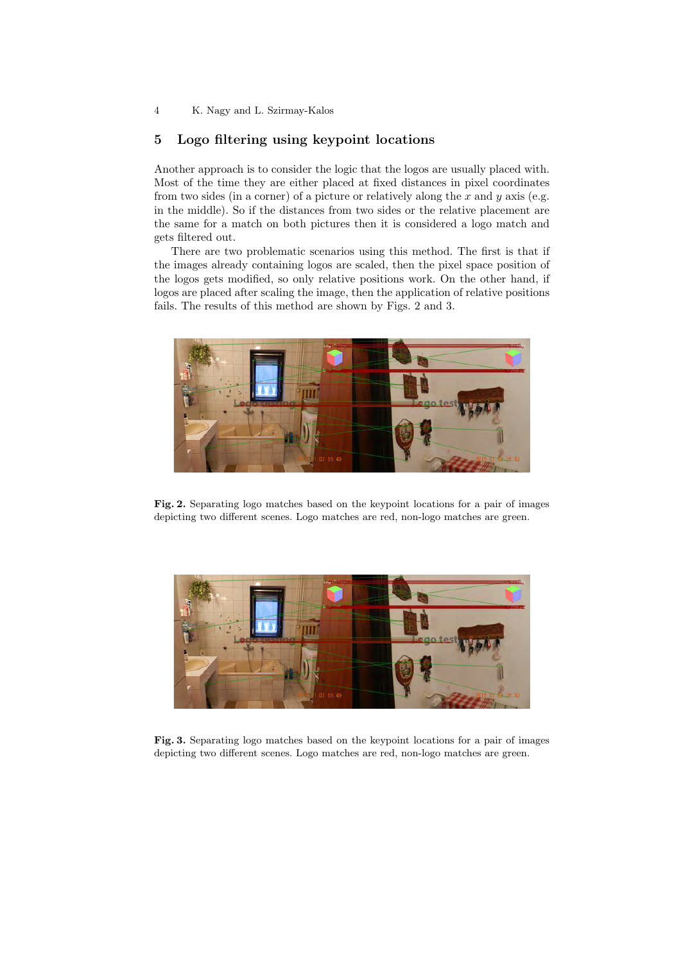# **5 Logo filtering using keypoint locations**

Another approach is to consider the logic that the logos are usually placed with. Most of the time they are either placed at fixed distances in pixel coordinates from two sides (in a corner) of a picture or relatively along the *x* and *y* axis (e.g. in the middle). So if the distances from two sides or the relative placement are the same for a match on both pictures then it is considered a logo match and gets filtered out.

There are two problematic scenarios using this method. The first is that if the images already containing logos are scaled, then the pixel space position of the logos gets modified, so only relative positions work. On the other hand, if logos are placed after scaling the image, then the application of relative positions fails. The results of this method are shown by Figs. 2 and 3.



**Fig. 2.** Separating logo matches based on the keypoint locations for a pair of images depicting two different scenes. Logo matches are red, non-logo matches are green.



**Fig. 3.** Separating logo matches based on the keypoint locations for a pair of images depicting two different scenes. Logo matches are red, non-logo matches are green.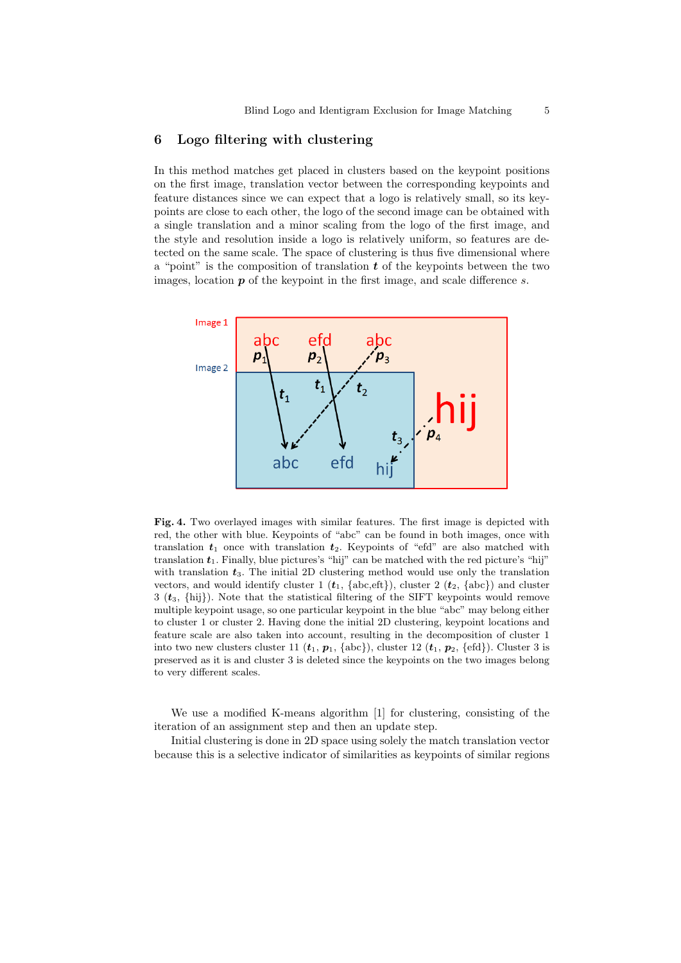## **6 Logo filtering with clustering**

In this method matches get placed in clusters based on the keypoint positions on the first image, translation vector between the corresponding keypoints and feature distances since we can expect that a logo is relatively small, so its keypoints are close to each other, the logo of the second image can be obtained with a single translation and a minor scaling from the logo of the first image, and the style and resolution inside a logo is relatively uniform, so features are detected on the same scale. The space of clustering is thus five dimensional where a "point" is the composition of translation *t* of the keypoints between the two images, location *p* of the keypoint in the first image, and scale difference *s*.



**Fig. 4.** Two overlayed images with similar features. The first image is depicted with red, the other with blue. Keypoints of "abc" can be found in both images, once with translation  $t_1$  once with translation  $t_2$ . Keypoints of "efd" are also matched with translation  $t_1$ . Finally, blue pictures's "hij" can be matched with the red picture's "hij" with translation  $t_3$ . The initial 2D clustering method would use only the translation vectors, and would identify cluster 1  $(t_1, \{\text{abc}, \text{eft}\})$ , cluster 2  $(t_2, \{\text{abc}\})$  and cluster 3 (*t*3, *{*hij*}*). Note that the statistical filtering of the SIFT keypoints would remove multiple keypoint usage, so one particular keypoint in the blue "abc" may belong either to cluster 1 or cluster 2. Having done the initial 2D clustering, keypoint locations and feature scale are also taken into account, resulting in the decomposition of cluster 1 into two new clusters cluster 11  $(t_1, p_1, \{\text{abc}\})$ , cluster 12  $(t_1, p_2, \{\text{efd}\})$ . Cluster 3 is preserved as it is and cluster 3 is deleted since the keypoints on the two images belong to very different scales.

We use a modified K-means algorithm [1] for clustering, consisting of the iteration of an assignment step and then an update step.

Initial clustering is done in 2D space using solely the match translation vector because this is a selective indicator of similarities as keypoints of similar regions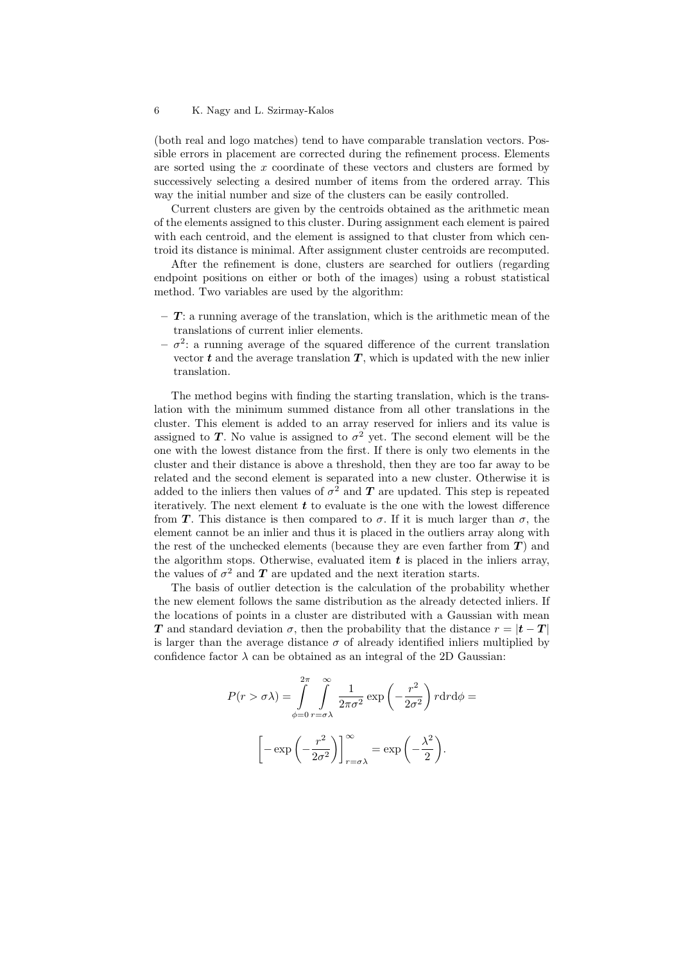(both real and logo matches) tend to have comparable translation vectors. Possible errors in placement are corrected during the refinement process. Elements are sorted using the *x* coordinate of these vectors and clusters are formed by successively selecting a desired number of items from the ordered array. This way the initial number and size of the clusters can be easily controlled.

Current clusters are given by the centroids obtained as the arithmetic mean of the elements assigned to this cluster. During assignment each element is paired with each centroid, and the element is assigned to that cluster from which centroid its distance is minimal. After assignment cluster centroids are recomputed.

After the refinement is done, clusters are searched for outliers (regarding endpoint positions on either or both of the images) using a robust statistical method. Two variables are used by the algorithm:

- **–** *T*: a running average of the translation, which is the arithmetic mean of the translations of current inlier elements.
- $-\sigma^2$ : a running average of the squared difference of the current translation vector  $t$  and the average translation  $T$ , which is updated with the new inlier translation.

The method begins with finding the starting translation, which is the translation with the minimum summed distance from all other translations in the cluster. This element is added to an array reserved for inliers and its value is assigned to *T*. No value is assigned to  $\sigma^2$  yet. The second element will be the one with the lowest distance from the first. If there is only two elements in the cluster and their distance is above a threshold, then they are too far away to be related and the second element is separated into a new cluster. Otherwise it is added to the inliers then values of  $\sigma^2$  and  $T$  are updated. This step is repeated iteratively. The next element *t* to evaluate is the one with the lowest difference from *T*. This distance is then compared to *σ*. If it is much larger than *σ*, the element cannot be an inlier and thus it is placed in the outliers array along with the rest of the unchecked elements (because they are even farther from  $T$ ) and the algorithm stops. Otherwise, evaluated item *t* is placed in the inliers array, the values of  $\sigma^2$  and  $T$  are updated and the next iteration starts.

The basis of outlier detection is the calculation of the probability whether the new element follows the same distribution as the already detected inliers. If the locations of points in a cluster are distributed with a Gaussian with mean *T* and standard deviation  $\sigma$ , then the probability that the distance  $r = |t - T|$ is larger than the average distance  $\sigma$  of already identified inliers multiplied by confidence factor  $\lambda$  can be obtained as an integral of the 2D Gaussian:

$$
P(r > \sigma \lambda) = \int_{\phi=0}^{2\pi} \int_{r=\sigma\lambda}^{\infty} \frac{1}{2\pi\sigma^2} \exp\left(-\frac{r^2}{2\sigma^2}\right) r dr d\phi =
$$

$$
\left[-\exp\left(-\frac{r^2}{2\sigma^2}\right)\right]_{r=\sigma\lambda}^{\infty} = \exp\left(-\frac{\lambda^2}{2}\right).
$$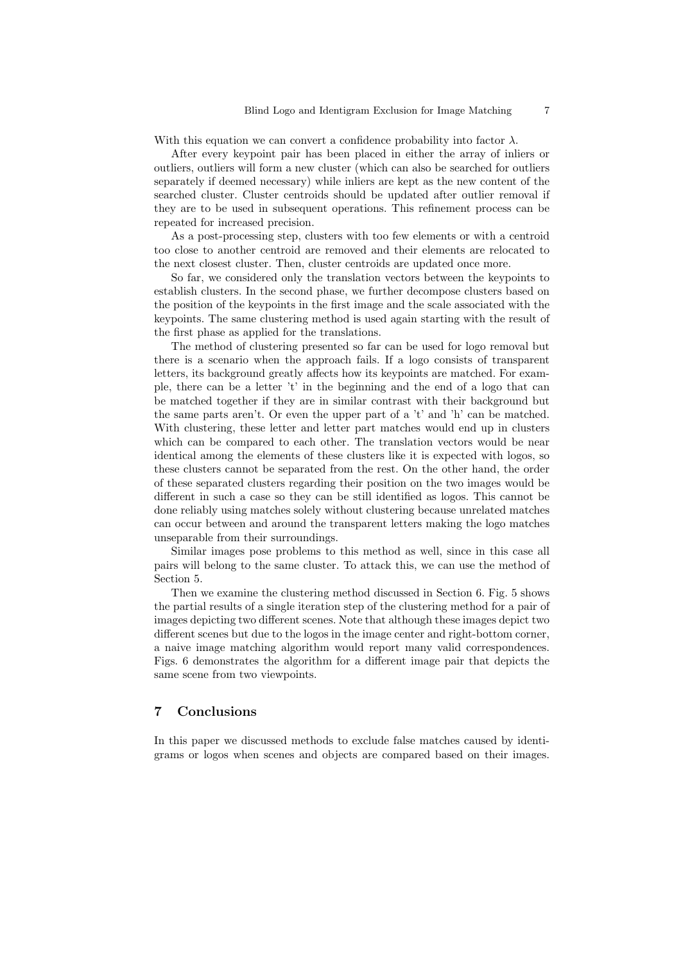With this equation we can convert a confidence probability into factor  $\lambda$ .

After every keypoint pair has been placed in either the array of inliers or outliers, outliers will form a new cluster (which can also be searched for outliers separately if deemed necessary) while inliers are kept as the new content of the searched cluster. Cluster centroids should be updated after outlier removal if they are to be used in subsequent operations. This refinement process can be repeated for increased precision.

As a post-processing step, clusters with too few elements or with a centroid too close to another centroid are removed and their elements are relocated to the next closest cluster. Then, cluster centroids are updated once more.

So far, we considered only the translation vectors between the keypoints to establish clusters. In the second phase, we further decompose clusters based on the position of the keypoints in the first image and the scale associated with the keypoints. The same clustering method is used again starting with the result of the first phase as applied for the translations.

The method of clustering presented so far can be used for logo removal but there is a scenario when the approach fails. If a logo consists of transparent letters, its background greatly affects how its keypoints are matched. For example, there can be a letter 't' in the beginning and the end of a logo that can be matched together if they are in similar contrast with their background but the same parts aren't. Or even the upper part of a 't' and 'h' can be matched. With clustering, these letter and letter part matches would end up in clusters which can be compared to each other. The translation vectors would be near identical among the elements of these clusters like it is expected with logos, so these clusters cannot be separated from the rest. On the other hand, the order of these separated clusters regarding their position on the two images would be different in such a case so they can be still identified as logos. This cannot be done reliably using matches solely without clustering because unrelated matches can occur between and around the transparent letters making the logo matches unseparable from their surroundings.

Similar images pose problems to this method as well, since in this case all pairs will belong to the same cluster. To attack this, we can use the method of Section 5.

Then we examine the clustering method discussed in Section 6. Fig. 5 shows the partial results of a single iteration step of the clustering method for a pair of images depicting two different scenes. Note that although these images depict two different scenes but due to the logos in the image center and right-bottom corner, a naive image matching algorithm would report many valid correspondences. Figs. 6 demonstrates the algorithm for a different image pair that depicts the same scene from two viewpoints.

## **7 Conclusions**

In this paper we discussed methods to exclude false matches caused by identigrams or logos when scenes and objects are compared based on their images.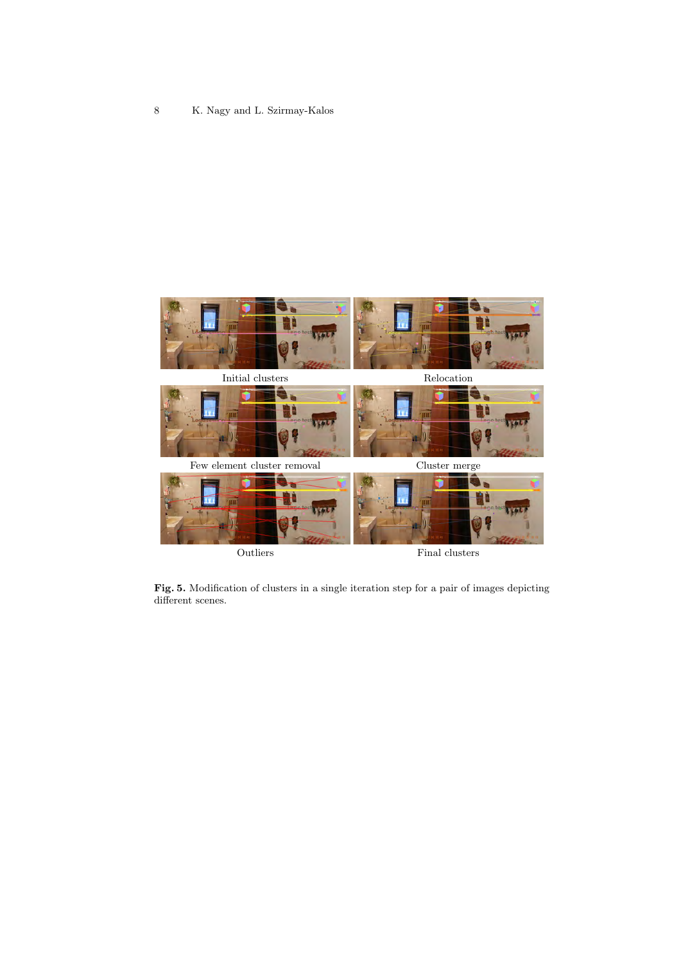

**Fig. 5.** Modification of clusters in a single iteration step for a pair of images depicting different scenes.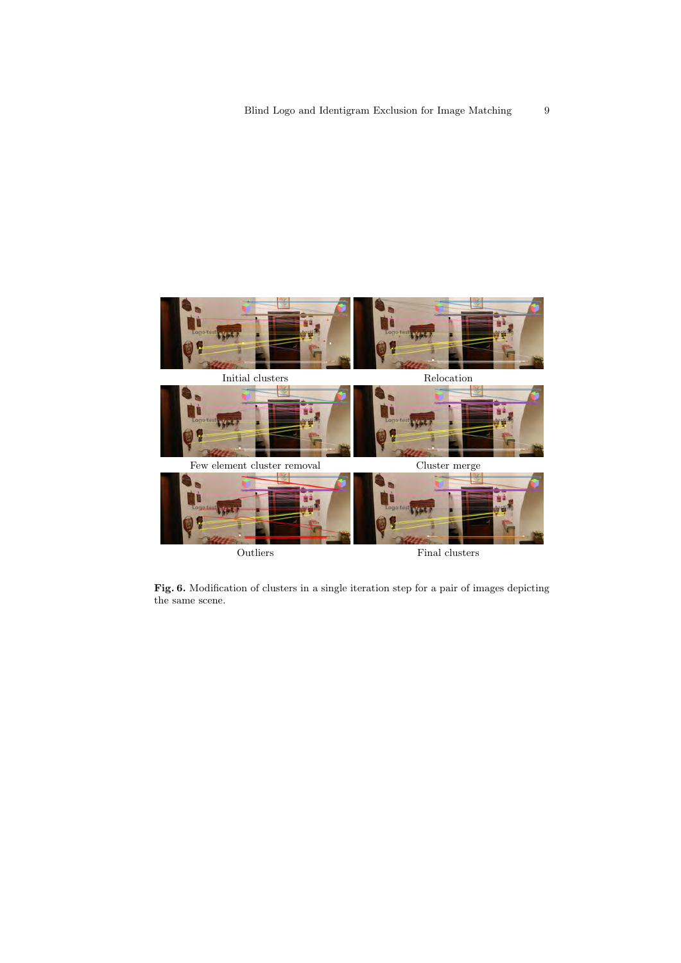

**Fig. 6.** Modification of clusters in a single iteration step for a pair of images depicting the same scene.